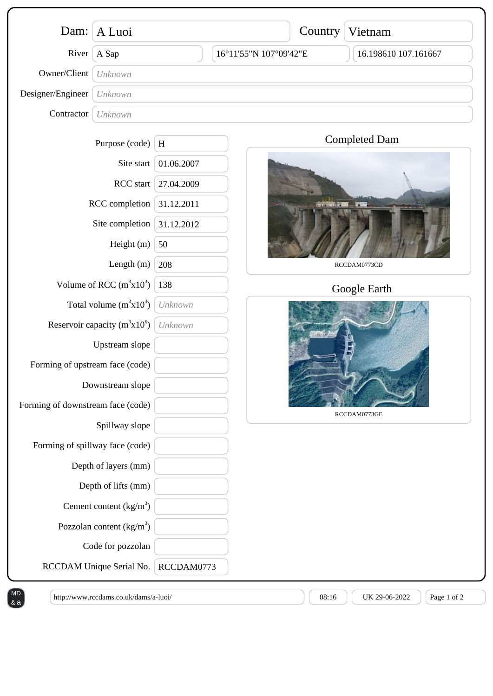| Dam:                                                                       | A Luoi                     |              | Country                | Vietnam              |  |
|----------------------------------------------------------------------------|----------------------------|--------------|------------------------|----------------------|--|
| River                                                                      | A Sap                      |              | 16°11'55"N 107°09'42"E | 16.198610 107.161667 |  |
| Owner/Client                                                               | Unknown                    |              |                        |                      |  |
| Designer/Engineer                                                          | Unknown                    |              |                        |                      |  |
| Contractor                                                                 | Unknown                    |              |                        |                      |  |
|                                                                            | Purpose (code)             | $\, {\rm H}$ |                        | <b>Completed Dam</b> |  |
| Site start<br>RCC start<br>RCC completion<br>Site completion<br>Height (m) |                            | 01.06.2007   |                        |                      |  |
|                                                                            |                            | 27.04.2009   | RCCDAM0773CD           |                      |  |
|                                                                            |                            | 31.12.2011   |                        |                      |  |
|                                                                            |                            | 31.12.2012   |                        |                      |  |
|                                                                            |                            | 50           |                        |                      |  |
| Length (m)                                                                 |                            | 208          |                        |                      |  |
| Volume of RCC $(m^3x10^3)$                                                 |                            | 138          |                        | Google Earth         |  |
| Total volume $(m^3x10^3)$                                                  |                            | Unknown      |                        |                      |  |
| Reservoir capacity $(m^3x10^6)$                                            |                            | Unknown      |                        |                      |  |
| Upstream slope                                                             |                            |              |                        |                      |  |
| Forming of upstream face (code)                                            |                            |              |                        |                      |  |
| Downstream slope                                                           |                            |              |                        |                      |  |
| Forming of downstream face (code)                                          |                            |              |                        | RCCDAM0773GE         |  |
| Spillway slope                                                             |                            |              |                        |                      |  |
| Forming of spillway face (code)<br>Depth of layers (mm)                    |                            |              |                        |                      |  |
|                                                                            |                            |              |                        |                      |  |
|                                                                            | Depth of lifts (mm)        |              |                        |                      |  |
|                                                                            | Cement content $(kg/m3)$   |              |                        |                      |  |
|                                                                            | Pozzolan content $(kg/m3)$ |              |                        |                      |  |
|                                                                            | Code for pozzolan          |              |                        |                      |  |
|                                                                            | RCCDAM Unique Serial No.   | RCCDAM0773   |                        |                      |  |